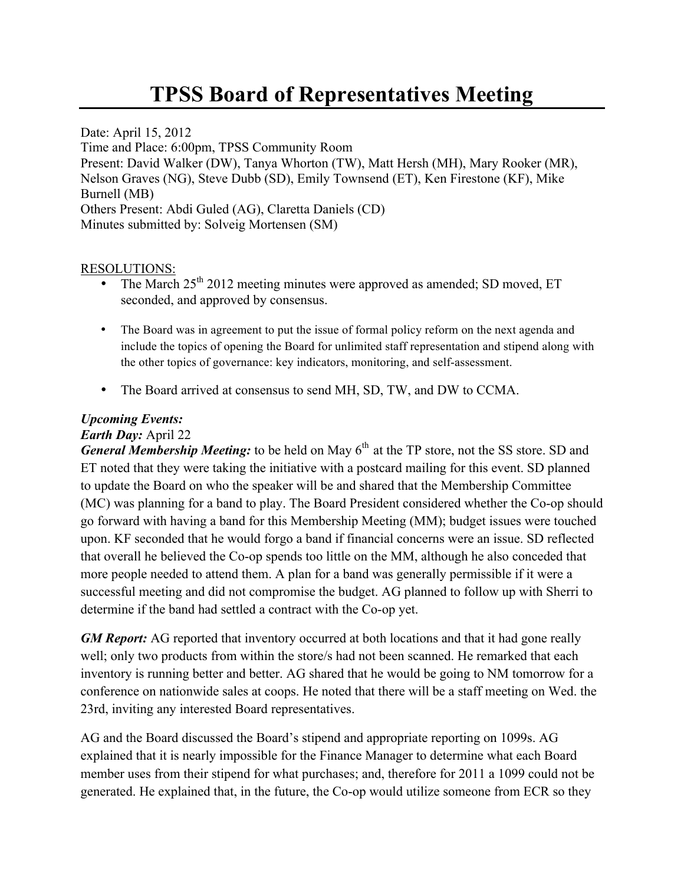## **TPSS Board of Representatives Meeting**

Date: April 15, 2012 Time and Place: 6:00pm, TPSS Community Room Present: David Walker (DW), Tanya Whorton (TW), Matt Hersh (MH), Mary Rooker (MR), Nelson Graves (NG), Steve Dubb (SD), Emily Townsend (ET), Ken Firestone (KF), Mike Burnell (MB) Others Present: Abdi Guled (AG), Claretta Daniels (CD) Minutes submitted by: Solveig Mortensen (SM)

## RESOLUTIONS:

- The March 25<sup>th</sup> 2012 meeting minutes were approved as amended; SD moved, ET seconded, and approved by consensus.
- The Board was in agreement to put the issue of formal policy reform on the next agenda and include the topics of opening the Board for unlimited staff representation and stipend along with the other topics of governance: key indicators, monitoring, and self-assessment.
- The Board arrived at consensus to send MH, SD, TW, and DW to CCMA.

## *Upcoming Events:*

## *Earth Day:* April 22

*General Membership Meeting:* to be held on May 6<sup>th</sup> at the TP store, not the SS store. SD and ET noted that they were taking the initiative with a postcard mailing for this event. SD planned to update the Board on who the speaker will be and shared that the Membership Committee (MC) was planning for a band to play. The Board President considered whether the Co-op should go forward with having a band for this Membership Meeting (MM); budget issues were touched upon. KF seconded that he would forgo a band if financial concerns were an issue. SD reflected that overall he believed the Co-op spends too little on the MM, although he also conceded that more people needed to attend them. A plan for a band was generally permissible if it were a successful meeting and did not compromise the budget. AG planned to follow up with Sherri to determine if the band had settled a contract with the Co-op yet.

*GM Report:* AG reported that inventory occurred at both locations and that it had gone really well; only two products from within the store/s had not been scanned. He remarked that each inventory is running better and better. AG shared that he would be going to NM tomorrow for a conference on nationwide sales at coops. He noted that there will be a staff meeting on Wed. the 23rd, inviting any interested Board representatives.

AG and the Board discussed the Board's stipend and appropriate reporting on 1099s. AG explained that it is nearly impossible for the Finance Manager to determine what each Board member uses from their stipend for what purchases; and, therefore for 2011 a 1099 could not be generated. He explained that, in the future, the Co-op would utilize someone from ECR so they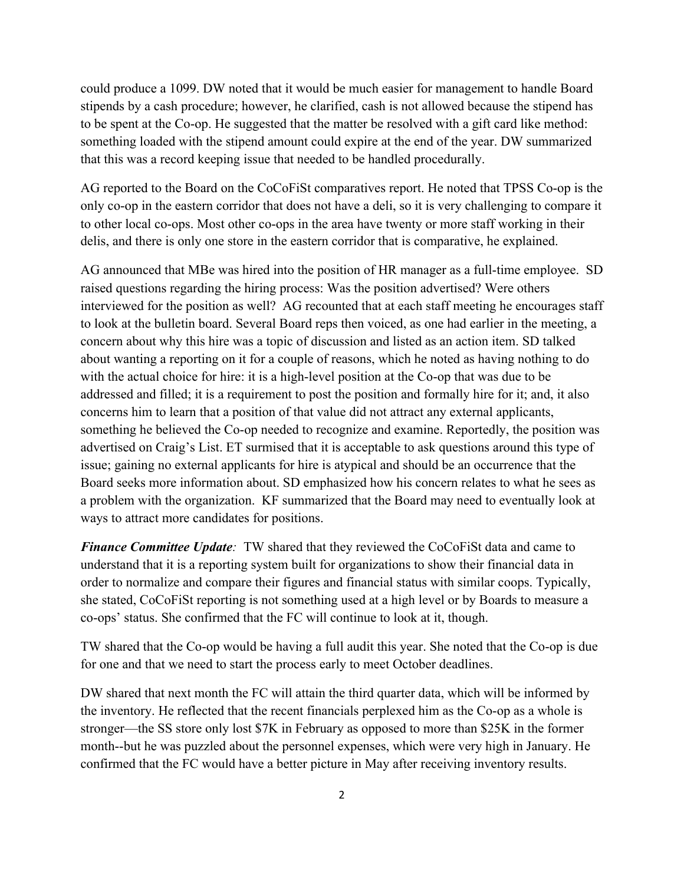could produce a 1099. DW noted that it would be much easier for management to handle Board stipends by a cash procedure; however, he clarified, cash is not allowed because the stipend has to be spent at the Co-op. He suggested that the matter be resolved with a gift card like method: something loaded with the stipend amount could expire at the end of the year. DW summarized that this was a record keeping issue that needed to be handled procedurally.

AG reported to the Board on the CoCoFiSt comparatives report. He noted that TPSS Co-op is the only co-op in the eastern corridor that does not have a deli, so it is very challenging to compare it to other local co-ops. Most other co-ops in the area have twenty or more staff working in their delis, and there is only one store in the eastern corridor that is comparative, he explained.

AG announced that MBe was hired into the position of HR manager as a full-time employee. SD raised questions regarding the hiring process: Was the position advertised? Were others interviewed for the position as well? AG recounted that at each staff meeting he encourages staff to look at the bulletin board. Several Board reps then voiced, as one had earlier in the meeting, a concern about why this hire was a topic of discussion and listed as an action item. SD talked about wanting a reporting on it for a couple of reasons, which he noted as having nothing to do with the actual choice for hire: it is a high-level position at the Co-op that was due to be addressed and filled; it is a requirement to post the position and formally hire for it; and, it also concerns him to learn that a position of that value did not attract any external applicants, something he believed the Co-op needed to recognize and examine. Reportedly, the position was advertised on Craig's List. ET surmised that it is acceptable to ask questions around this type of issue; gaining no external applicants for hire is atypical and should be an occurrence that the Board seeks more information about. SD emphasized how his concern relates to what he sees as a problem with the organization. KF summarized that the Board may need to eventually look at ways to attract more candidates for positions.

*Finance Committee Update:* TW shared that they reviewed the CoCoFiSt data and came to understand that it is a reporting system built for organizations to show their financial data in order to normalize and compare their figures and financial status with similar coops. Typically, she stated, CoCoFiSt reporting is not something used at a high level or by Boards to measure a co-ops' status. She confirmed that the FC will continue to look at it, though.

TW shared that the Co-op would be having a full audit this year. She noted that the Co-op is due for one and that we need to start the process early to meet October deadlines.

DW shared that next month the FC will attain the third quarter data, which will be informed by the inventory. He reflected that the recent financials perplexed him as the Co-op as a whole is stronger—the SS store only lost \$7K in February as opposed to more than \$25K in the former month--but he was puzzled about the personnel expenses, which were very high in January. He confirmed that the FC would have a better picture in May after receiving inventory results.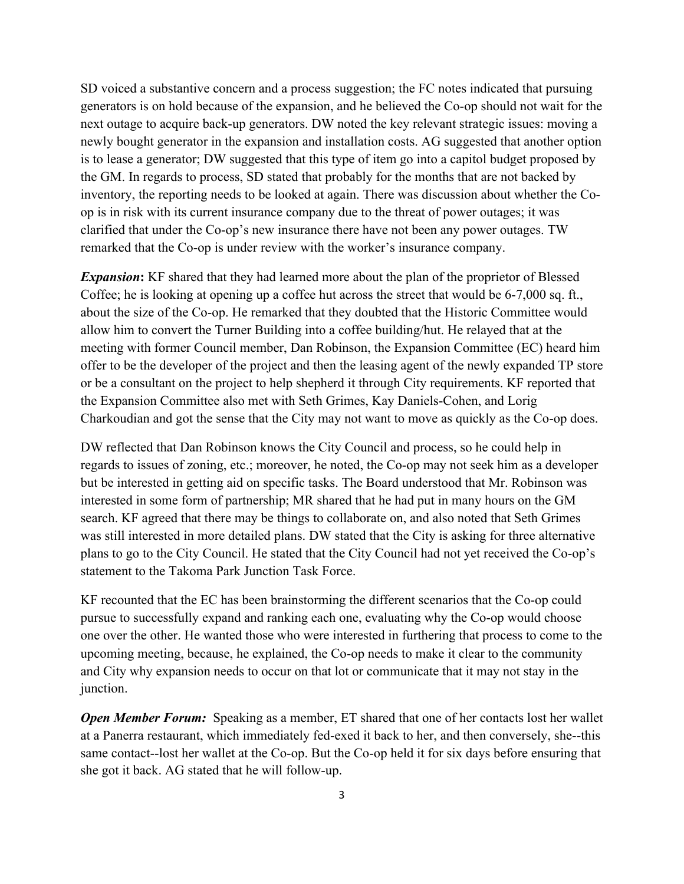SD voiced a substantive concern and a process suggestion; the FC notes indicated that pursuing generators is on hold because of the expansion, and he believed the Co-op should not wait for the next outage to acquire back-up generators. DW noted the key relevant strategic issues: moving a newly bought generator in the expansion and installation costs. AG suggested that another option is to lease a generator; DW suggested that this type of item go into a capitol budget proposed by the GM. In regards to process, SD stated that probably for the months that are not backed by inventory, the reporting needs to be looked at again. There was discussion about whether the Coop is in risk with its current insurance company due to the threat of power outages; it was clarified that under the Co-op's new insurance there have not been any power outages. TW remarked that the Co-op is under review with the worker's insurance company.

*Expansion*: KF shared that they had learned more about the plan of the proprietor of Blessed Coffee; he is looking at opening up a coffee hut across the street that would be 6-7,000 sq. ft., about the size of the Co-op. He remarked that they doubted that the Historic Committee would allow him to convert the Turner Building into a coffee building/hut. He relayed that at the meeting with former Council member, Dan Robinson, the Expansion Committee (EC) heard him offer to be the developer of the project and then the leasing agent of the newly expanded TP store or be a consultant on the project to help shepherd it through City requirements. KF reported that the Expansion Committee also met with Seth Grimes, Kay Daniels-Cohen, and Lorig Charkoudian and got the sense that the City may not want to move as quickly as the Co-op does.

DW reflected that Dan Robinson knows the City Council and process, so he could help in regards to issues of zoning, etc.; moreover, he noted, the Co-op may not seek him as a developer but be interested in getting aid on specific tasks. The Board understood that Mr. Robinson was interested in some form of partnership; MR shared that he had put in many hours on the GM search. KF agreed that there may be things to collaborate on, and also noted that Seth Grimes was still interested in more detailed plans. DW stated that the City is asking for three alternative plans to go to the City Council. He stated that the City Council had not yet received the Co-op's statement to the Takoma Park Junction Task Force.

KF recounted that the EC has been brainstorming the different scenarios that the Co-op could pursue to successfully expand and ranking each one, evaluating why the Co-op would choose one over the other. He wanted those who were interested in furthering that process to come to the upcoming meeting, because, he explained, the Co-op needs to make it clear to the community and City why expansion needs to occur on that lot or communicate that it may not stay in the junction.

*Open Member Forum:* Speaking as a member, ET shared that one of her contacts lost her wallet at a Panerra restaurant, which immediately fed-exed it back to her, and then conversely, she--this same contact--lost her wallet at the Co-op. But the Co-op held it for six days before ensuring that she got it back. AG stated that he will follow-up.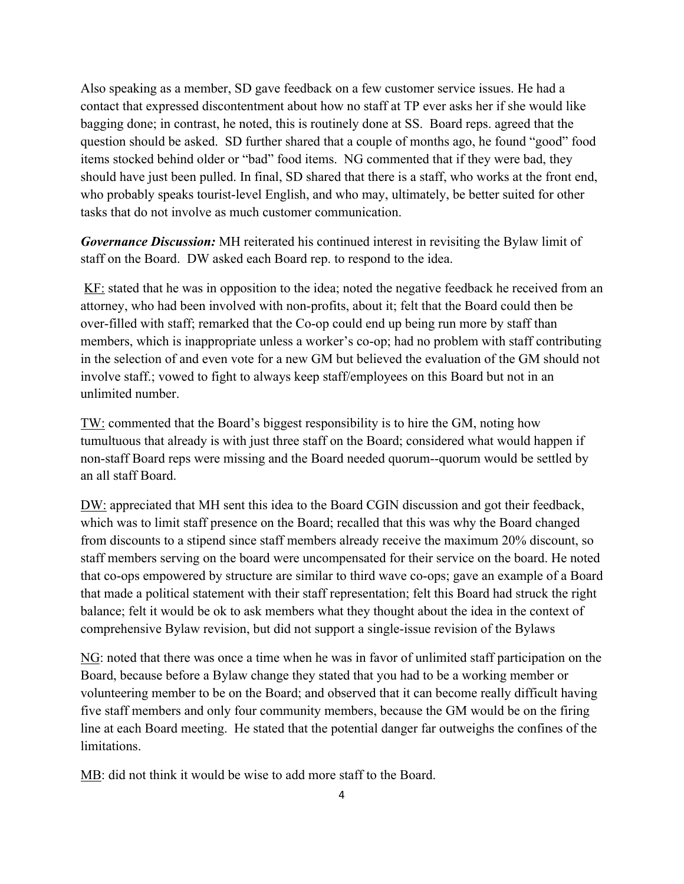Also speaking as a member, SD gave feedback on a few customer service issues. He had a contact that expressed discontentment about how no staff at TP ever asks her if she would like bagging done; in contrast, he noted, this is routinely done at SS. Board reps. agreed that the question should be asked. SD further shared that a couple of months ago, he found "good" food items stocked behind older or "bad" food items. NG commented that if they were bad, they should have just been pulled. In final, SD shared that there is a staff, who works at the front end, who probably speaks tourist-level English, and who may, ultimately, be better suited for other tasks that do not involve as much customer communication.

*Governance Discussion:* MH reiterated his continued interest in revisiting the Bylaw limit of staff on the Board. DW asked each Board rep. to respond to the idea.

KF: stated that he was in opposition to the idea; noted the negative feedback he received from an attorney, who had been involved with non-profits, about it; felt that the Board could then be over-filled with staff; remarked that the Co-op could end up being run more by staff than members, which is inappropriate unless a worker's co-op; had no problem with staff contributing in the selection of and even vote for a new GM but believed the evaluation of the GM should not involve staff.; vowed to fight to always keep staff/employees on this Board but not in an unlimited number.

TW: commented that the Board's biggest responsibility is to hire the GM, noting how tumultuous that already is with just three staff on the Board; considered what would happen if non-staff Board reps were missing and the Board needed quorum--quorum would be settled by an all staff Board.

DW: appreciated that MH sent this idea to the Board CGIN discussion and got their feedback, which was to limit staff presence on the Board; recalled that this was why the Board changed from discounts to a stipend since staff members already receive the maximum 20% discount, so staff members serving on the board were uncompensated for their service on the board. He noted that co-ops empowered by structure are similar to third wave co-ops; gave an example of a Board that made a political statement with their staff representation; felt this Board had struck the right balance; felt it would be ok to ask members what they thought about the idea in the context of comprehensive Bylaw revision, but did not support a single-issue revision of the Bylaws

NG: noted that there was once a time when he was in favor of unlimited staff participation on the Board, because before a Bylaw change they stated that you had to be a working member or volunteering member to be on the Board; and observed that it can become really difficult having five staff members and only four community members, because the GM would be on the firing line at each Board meeting. He stated that the potential danger far outweighs the confines of the limitations.

MB: did not think it would be wise to add more staff to the Board.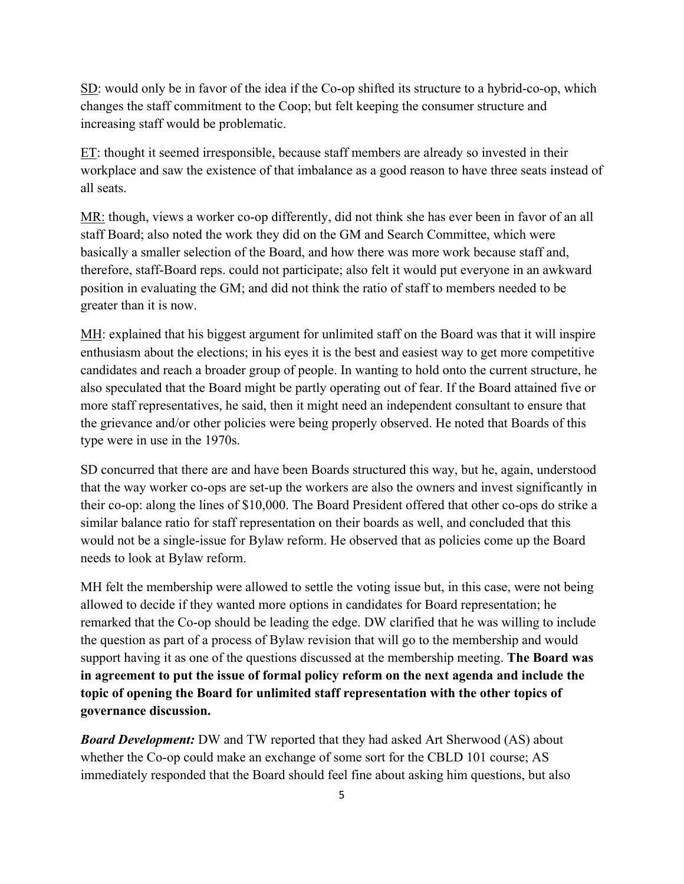SD: would only be in favor of the idea if the Co-op shifted its structure to a hybrid-co-op, which changes the staff commitment to the Coop; but felt keeping the consumer structure and increasing staff would be problematic.

 $ET$ : thought it seemed irresponsible, because staff members are already so invested in their workplace and saw the existence of that imbalance as a good reason to have three seats instead of all seats.

MR: though, views a worker co-op differently, did not think she has ever been in favor of an all staff Board; also noted the work they did on the GM and Search Committee, which were basically a smaller selection of the Board, and how there was more work because staff and, therefore, staff-Board reps. could not participate; also felt it would put everyone in an awkward position in evaluating the GM; and did not think the ratio of staff to members needed to be greater than it is now.

MH: explained that his biggest argument for unlimited staff on the Board was that it will inspire enthusiasm about the elections; in his eyes it is the best and easiest way to get more competitive candidates and reach a broader group of people. In wanting to hold onto the current structure, he also speculated that the Board might be partly operating out of fear. If the Board attained five or more staff representatives, he said, then it might need an independent consultant to ensure that the grievance and/or other policies were being properly observed. He noted that Boards of this type were in use in the 1970s.

SD concurred that there are and have been Boards structured this way, but he, again, understood that the way worker co-ops are set-up the workers are also the owners and invest significantly in their co-op: along the lines of \$10,000. The Board President offered that other co-ops do strike a similar balance ratio for staff representation on their boards as well, and concluded that this would not be a single-issue for Bylaw reform. He observed that as policies come up the Board needs to look at Bylaw reform.

MH felt the membership were allowed to settle the voting issue but, in this case, were not being allowed to decide if they wanted more options in candidates for Board representation; he remarked that the Co-op should be leading the edge. DW clarified that he was willing to include the question as part of a process of Bylaw revision that will go to the membership and would support having it as one of the questions discussed at the membership meeting. **The Board was in agreement to put the issue of formal policy reform on the next agenda and include the topic of opening the Board for unlimited staff representation with the other topics of governance discussion.**

*Board Development:* DW and TW reported that they had asked Art Sherwood (AS) about whether the Co-op could make an exchange of some sort for the CBLD 101 course; AS immediately responded that the Board should feel fine about asking him questions, but also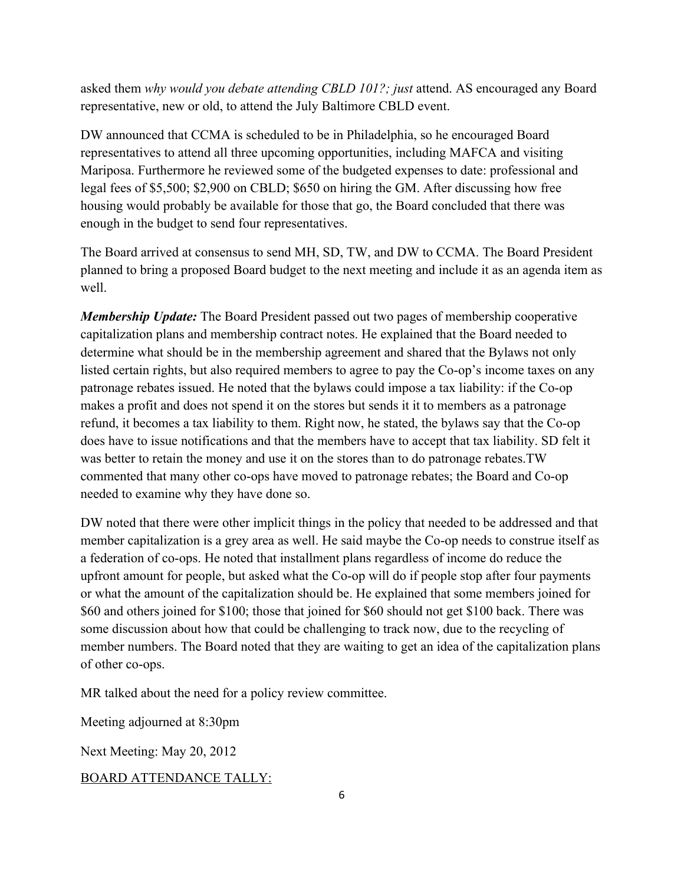asked them *why would you debate attending CBLD 101?; just* attend. AS encouraged any Board representative, new or old, to attend the July Baltimore CBLD event.

DW announced that CCMA is scheduled to be in Philadelphia, so he encouraged Board representatives to attend all three upcoming opportunities, including MAFCA and visiting Mariposa. Furthermore he reviewed some of the budgeted expenses to date: professional and legal fees of \$5,500; \$2,900 on CBLD; \$650 on hiring the GM. After discussing how free housing would probably be available for those that go, the Board concluded that there was enough in the budget to send four representatives.

The Board arrived at consensus to send MH, SD, TW, and DW to CCMA. The Board President planned to bring a proposed Board budget to the next meeting and include it as an agenda item as well.

*Membership Update:* The Board President passed out two pages of membership cooperative capitalization plans and membership contract notes. He explained that the Board needed to determine what should be in the membership agreement and shared that the Bylaws not only listed certain rights, but also required members to agree to pay the Co-op's income taxes on any patronage rebates issued. He noted that the bylaws could impose a tax liability: if the Co-op makes a profit and does not spend it on the stores but sends it it to members as a patronage refund, it becomes a tax liability to them. Right now, he stated, the bylaws say that the Co-op does have to issue notifications and that the members have to accept that tax liability. SD felt it was better to retain the money and use it on the stores than to do patronage rebates.TW commented that many other co-ops have moved to patronage rebates; the Board and Co-op needed to examine why they have done so.

DW noted that there were other implicit things in the policy that needed to be addressed and that member capitalization is a grey area as well. He said maybe the Co-op needs to construe itself as a federation of co-ops. He noted that installment plans regardless of income do reduce the upfront amount for people, but asked what the Co-op will do if people stop after four payments or what the amount of the capitalization should be. He explained that some members joined for \$60 and others joined for \$100; those that joined for \$60 should not get \$100 back. There was some discussion about how that could be challenging to track now, due to the recycling of member numbers. The Board noted that they are waiting to get an idea of the capitalization plans of other co-ops.

MR talked about the need for a policy review committee.

Meeting adjourned at 8:30pm

Next Meeting: May 20, 2012

BOARD ATTENDANCE TALLY: